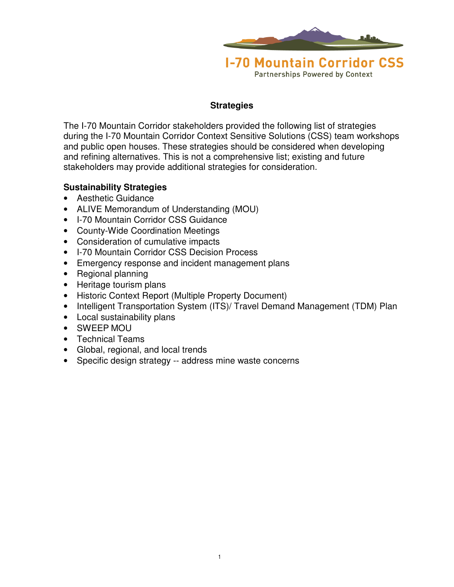

**Strategies**

The I-70 Mountain Corridor stakeholders provided the following list of strategies during the I-70 Mountain Corridor Context Sensitive Solutions (CSS) team workshops and public open houses. These strategies should be considered when developing and refining alternatives. This is not a comprehensive list; existing and future stakeholders may provide additional strategies for consideration.

#### **Sustainability Strategies**

- Aesthetic Guidance
- ALIVE Memorandum of Understanding (MOU)
- I-70 Mountain Corridor CSS Guidance
- County-Wide Coordination Meetings
- Consideration of cumulative impacts
- I-70 Mountain Corridor CSS Decision Process
- Emergency response and incident management plans
- Regional planning
- Heritage tourism plans
- Historic Context Report (Multiple Property Document)
- Intelligent Transportation System (ITS)/ Travel Demand Management (TDM) Plan
- Local sustainability plans
- SWEEP MOU
- Technical Teams
- Global, regional, and local trends
- Specific design strategy -- address mine waste concerns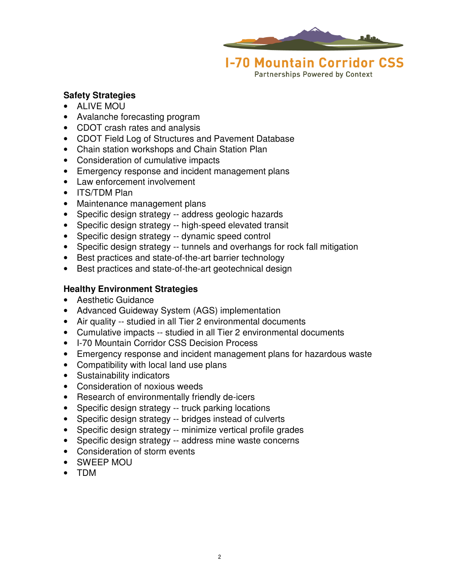

**Partnerships Powered by Context** 

### **Safety Strategies**

- ALIVE MOU
- Avalanche forecasting program
- CDOT crash rates and analysis
- CDOT Field Log of Structures and Pavement Database
- Chain station workshops and Chain Station Plan
- Consideration of cumulative impacts
- Emergency response and incident management plans
- Law enforcement involvement
- ITS/TDM Plan
- Maintenance management plans
- Specific design strategy -- address geologic hazards
- Specific design strategy -- high-speed elevated transit
- Specific design strategy -- dynamic speed control
- Specific design strategy -- tunnels and overhangs for rock fall mitigation
- Best practices and state-of-the-art barrier technology
- Best practices and state-of-the-art geotechnical design

## **Healthy Environment Strategies**

- Aesthetic Guidance
- Advanced Guideway System (AGS) implementation
- Air quality -- studied in all Tier 2 environmental documents
- Cumulative impacts -- studied in all Tier 2 environmental documents
- I-70 Mountain Corridor CSS Decision Process
- Emergency response and incident management plans for hazardous waste
- Compatibility with local land use plans
- Sustainability indicators
- Consideration of noxious weeds
- Research of environmentally friendly de-icers
- Specific design strategy -- truck parking locations
- Specific design strategy -- bridges instead of culverts
- Specific design strategy -- minimize vertical profile grades
- Specific design strategy -- address mine waste concerns
- Consideration of storm events
- SWEEP MOU
- TDM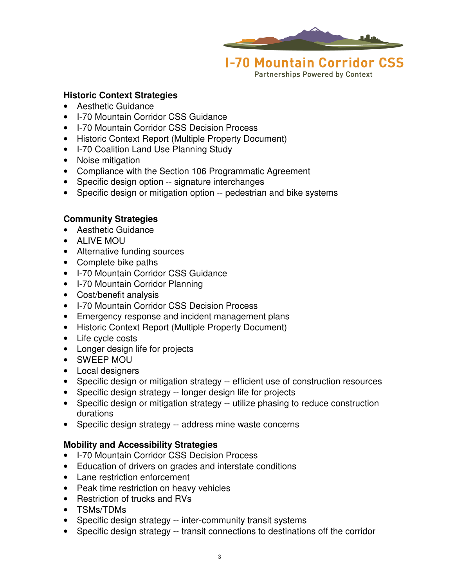

**Partnerships Powered by Context** 

#### **Historic Context Strategies**

- Aesthetic Guidance
- I-70 Mountain Corridor CSS Guidance
- I-70 Mountain Corridor CSS Decision Process
- Historic Context Report (Multiple Property Document)
- I-70 Coalition Land Use Planning Study
- Noise mitigation
- Compliance with the Section 106 Programmatic Agreement
- Specific design option -- signature interchanges
- Specific design or mitigation option -- pedestrian and bike systems

## **Community Strategies**

- Aesthetic Guidance
- ALIVE MOU
- Alternative funding sources
- Complete bike paths
- I-70 Mountain Corridor CSS Guidance
- I-70 Mountain Corridor Planning
- Cost/benefit analysis
- I-70 Mountain Corridor CSS Decision Process
- Emergency response and incident management plans
- Historic Context Report (Multiple Property Document)
- Life cycle costs
- Longer design life for projects
- SWEEP MOU
- Local designers
- Specific design or mitigation strategy -- efficient use of construction resources
- Specific design strategy -- longer design life for projects
- Specific design or mitigation strategy -- utilize phasing to reduce construction durations
- Specific design strategy -- address mine waste concerns

## **Mobility and Accessibility Strategies**

- I-70 Mountain Corridor CSS Decision Process
- Education of drivers on grades and interstate conditions
- Lane restriction enforcement
- Peak time restriction on heavy vehicles
- Restriction of trucks and RVs
- TSMs/TDMs
- Specific design strategy -- inter-community transit systems
- Specific design strategy -- transit connections to destinations off the corridor